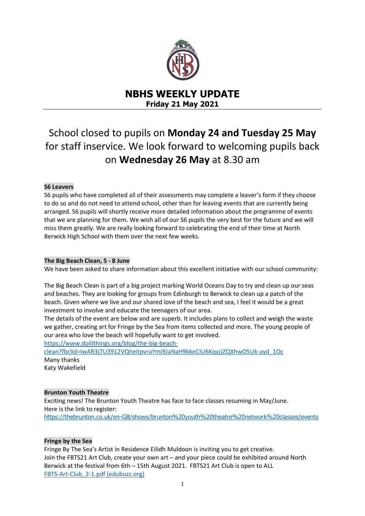

# **NBHS WEEKLY UPDATE Friday 21 May 2021**

# School closed to pupils on **Monday 24 and Tuesday 25 May**  for staff inservice. We look forward to welcoming pupils back on **Wednesday 26 May** at 8.30 am

# **S6 Leavers**

S6 pupils who have completed all of their assessments may complete a leaver's form if they choose to do so and do not need to attend school, other than for leaving events that are currently being arranged. S6 pupils will shortly receive more detailed information about the programme of events that we are planning for them. We wish all of our S6 pupils the very best for the future and we will miss them greatly. We are really looking forward to celebrating the end of their time at North Berwick High School with them over the next few weeks.

# **The Big Beach Clean, 5 - 8 June**

We have been asked to share information about this excellent initiative with our school community:

The Big Beach Clean is part of a big project marking World Oceans Day to try and clean up our seas and beaches. They are looking for groups from Edinburgh to Berwick to clean up a patch of the beach. Given where we live and our shared love of the beach and sea, I feel it would be a great investment to involve and educate the teenagers of our area.

The details of the event are below and are superb. It includes plans to collect and weigh the waste we gather, creating art for Fringe by the Sea from items collected and more. The young people of our area who love the beach will hopefully want to get involved.

[https://www.dolilthings.org/blog/the-big-beach-](https://www.dolilthings.org/blog/the-big-beach-clean?fbclid=IwAR3j7U3912VQheitpvraYmi9JaNaH9kkeCIU6KqyjJZQXhwO5Uk-ayd_1Oc)

[clean?fbclid=IwAR3j7U3912VQheitpvraYmi9JaNaH9kkeCIU6KqyjJZQXhwO5Uk-ayd\\_1Oc](https://www.dolilthings.org/blog/the-big-beach-clean?fbclid=IwAR3j7U3912VQheitpvraYmi9JaNaH9kkeCIU6KqyjJZQXhwO5Uk-ayd_1Oc) Many thanks Katy Wakefield

# **Brunton Youth Theatre**

Exciting news! The Brunton Youth Theatre has face to face classes resuming in May/June. Here is the link to register: <https://thebrunton.co.uk/en-GB/shows/brunton%20youth%20theatre%20network%20classes/events>

# **Fringe by the Sea**

Fringe By The Sea's Artist in Residence Eilidh Muldoon is inviting you to get creative. Join the FBTS21 Art Club, create your own art – and your piece could be exhibited around North Berwick at the festival from 6th – 15th August 2021. FBTS21 Art Club is open to ALL [FBTS-Art-Club\\_2-1.pdf \(edubuzz.org\)](https://www.edubuzz.org/northberwickhigh/wp-content/blogs.dir/894/files/2021/05/FBTS-Art-Club_2-1.pdf)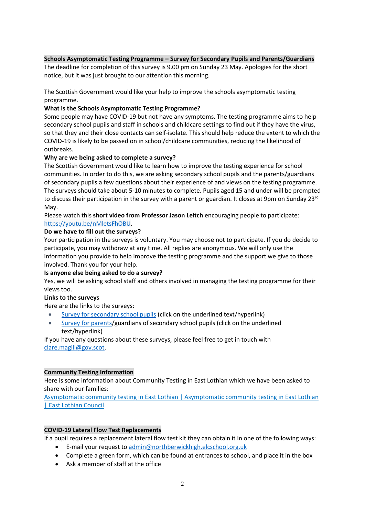## **Schools Asymptomatic Testing Programme – Survey for Secondary Pupils and Parents/Guardians**

The deadline for completion of this survey is 9.00 pm on Sunday 23 May. Apologies for the short notice, but it was just brought to our attention this morning.

The Scottish Government would like your help to improve the schools asymptomatic testing programme.

#### **What is the Schools Asymptomatic Testing Programme?**

Some people may have COVID-19 but not have any symptoms. The testing programme aims to help secondary school pupils and staff in schools and childcare settings to find out if they have the virus, so that they and their close contacts can self-isolate. This should help reduce the extent to which the COVID-19 is likely to be passed on in school/childcare communities, reducing the likelihood of outbreaks.

#### **Why are we being asked to complete a survey?**

The Scottish Government would like to learn how to improve the testing experience for school communities. In order to do this, we are asking secondary school pupils and the parents/guardians of secondary pupils a few questions about their experience of and views on the testing programme. The surveys should take about 5-10 minutes to complete. Pupils aged 15 and under will be prompted to discuss their participation in the survey with a parent or guardian. It closes at 9pm on Sunday 23<sup>rd</sup> May.

Please watch this **short video from Professor Jason Leitch** encouraging people to participate: [https://youtu.be/nMletsFhOBU.](https://youtu.be/nMletsFhOBU)

## **Do we have to fill out the surveys?**

Your participation in the surveys is voluntary. You may choose not to participate. If you do decide to participate, you may withdraw at any time. All replies are anonymous. We will only use the information you provide to help improve the testing programme and the support we give to those involved. Thank you for your help.

#### **Is anyone else being asked to do a survey?**

Yes, we will be asking school staff and others involved in managing the testing programme for their views too.

#### **Links to the surveys**

Here are the links to the surveys:

- [Survey for secondary school pupils](https://response.questback.com/scottishgovernment/uw0mxvfmkx) (click on the underlined text/hyperlink)
- [Survey for parents/](https://response.questback.com/scottishgovernment/uwdb431slq)guardians of secondary school pupils (click on the underlined text/hyperlink)

If you have any questions about these surveys, please feel free to get in touch with [clare.magill@gov.scot.](mailto:clare.magill@gov.scot)

#### **Community Testing Information**

Here is some information about Community Testing in East Lothian which we have been asked to share with our families:

[Asymptomatic community testing in East Lothian | Asymptomatic community testing in East Lothian](https://www.eastlothian.gov.uk/info/210634/covid-19/12622/asymptomatic_community_testing_in_east_lothian)  [| East Lothian Council](https://www.eastlothian.gov.uk/info/210634/covid-19/12622/asymptomatic_community_testing_in_east_lothian)

#### **COVID-19 Lateral Flow Test Replacements**

If a pupil requires a replacement lateral flow test kit they can obtain it in one of the following ways:

- E-mail your request to [admin@northberwickhigh.elcschool.org.uk](mailto:admin@northberwickhigh.elcschool.org.uk)
- Complete a green form, which can be found at entrances to school, and place it in the box
- Ask a member of staff at the office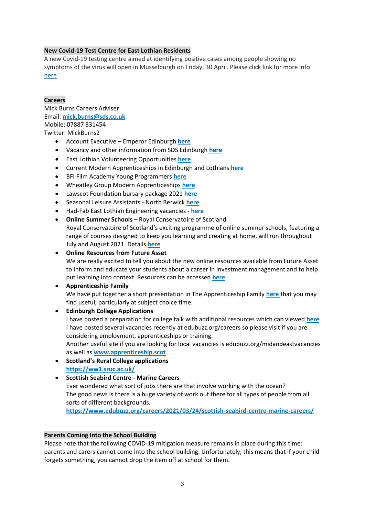## **New Covid-19 Test Centre for East Lothian Residents**

A new Covid-19 testing centre aimed at identifying positive cases among people showing no symptoms of the virus will open in Musselburgh on Friday, 30 April. Please click link for more info [here](https://www.edubuzz.org/northberwickhigh/2021/05/10/new-covid-19-test-centre-for-east-lothian-residents-ready-to-open/)

#### **Careers**

Mick Burns Careers Adviser Email: **[mick.burns@sds.co.uk](https://mail.elcschool.org.uk/owa/redir.aspx?C=fbGa3DGVrsUoQB2CnJP23eXwMGzxu7J1CtarT6dTOwkq_NlpJujXCA..&URL=mailto%3amick.burns%40sds.co.uk)** Mobile: 07887 831454 Twitter: MickBurns2

- Account Executive Emperor Edinburgh **[here](https://www.edubuzz.org/careers/2021/05/14/account-executive-emperor/)**
- Vacancy and other information from SDS Edinburgh **[here](https://www.edubuzz.org/careers/2021/05/19/apprenticeships-and-other-updates/)**
- East Lothian Volunteering Opportunities **[here](https://www.edubuzz.org/careers/2021/05/19/volunteering-with-can-do-east-lothian/)**
- Current Modern Apprenticeships in Edinburgh and Lothians **[here](https://www.edubuzz.org/careers/2021/05/12/modern-apprenticeship-vacancies-12/)**
- BFI Film Academy Young Programmers **[here](https://www.edubuzz.org/careers/2021/05/05/bfi-film-academy-young-programmers/)**
- Wheatley Group Modern Apprenticeships **[here](https://www.edubuzz.org/careers/2021/05/05/wheatley-group-modern-apprenticeships/)**
- Lawscot Foundation bursary package 2021 **[here](https://www.edubuzz.org/careers/2021/05/04/lawscot-foundation-bursary-package-2021/)**
- Seasonal Leisure Assistants North Berwick **[here](https://www.edubuzz.org/careers/2021/04/28/seasonal-leisure-assistants-north-berwick/)**
- Had-Fab East Lothian Engineering vacancies **[here](https://www.edubuzz.org/careers/2021/04/27/had-fab-east-lothian-vacancies/)**
- **Online Summer Schools** Royal Conservatoire of Scotland Royal Conservatoire of Scotland's exciting programme of online summer schools, featuring a range of courses designed to keep you learning and creating at home, will run throughout July and August 2021. Details **[here](https://www.edubuzz.org/careers/2021/04/27/summer-school-online-summer-schools-royal-conservatoire-of-scotland/)**
- **[Online Resources from Future Asset](https://www.futureasset.org.uk/resources/)** We are really excited to tell you about the new online resources available from Future Asset to inform and educate your students about a career in investment management and to help
- put learning into context. Resources can be accessed **[here](https://www.edubuzz.org/careers/2021/04/27/online-resources-from-future-asset/)**
- **Apprenticeship Family** We have put together a short presentation in The Apprenticeship Family **[here](https://www.edubuzz.org/careers/2021/01/21/apprenticeship-family/)** that you may find useful, particularly at subject choice time.
- **Edinburgh College Applications** I have posted a preparation for college talk with additional resources which can viewed **[here](https://www.edubuzz.org/careers/2017/12/06/applying-for-college-2018/)** I have posted several vacancies recently at edubuzz.org/careers so please visit if you are considering employment, apprenticeships or training. Another useful site if you are looking for local vacancies is edubuzz.org/midandeastvacancies as well as **[www.apprenticeship.scot](http://www.apprenticeship.scot/)**
- **Scotland's Rural College applications <https://ww1.sruc.ac.uk/>**

# **Scottish Seabird Centre - Marine Careers** Ever wondered what sort of jobs there are that involve working with the ocean? The good news is there is a huge variety of work out there for all types of people from all sorts of different backgrounds.

**<https://www.edubuzz.org/careers/2021/03/24/scottish-seabird-centre-marine-careers/>**

#### **Parents Coming Into the School Building**

Please note that the following COVID-19 mitigation measure remains in place during this time: parents and carers cannot come into the school building. Unfortunately, this means that if your child forgets something, you cannot drop the item off at school for them.